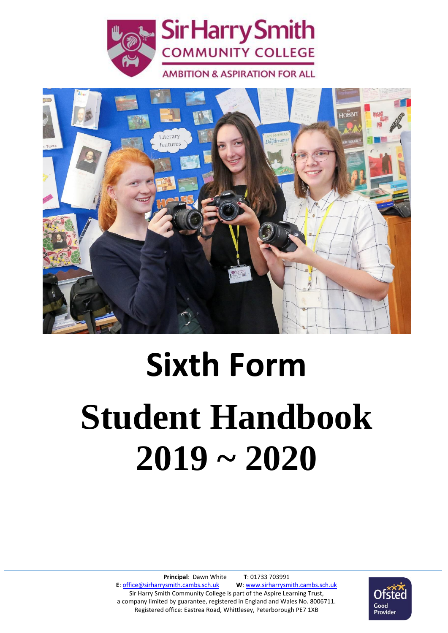



# **Sixth Form Student Handbook 2019 ~ 2020**

**Principal**: Dawn White **T**: 01733 703991 **E**[: office@sirharrysmith.cambs.sch.uk](mailto:office@sirharrysmith.cambs.sch.uk) **W**[: www.sirharrysmith.cambs.sch.uk](http://www.sirharrysmith.cambs.sch.uk/) Sir Harry Smith Community College is part of the Aspire Learning Trust, a company limited by guarantee, registered in England and Wales No. 8006711. Registered office: Eastrea Road, Whittlesey, Peterborough PE7 1XB

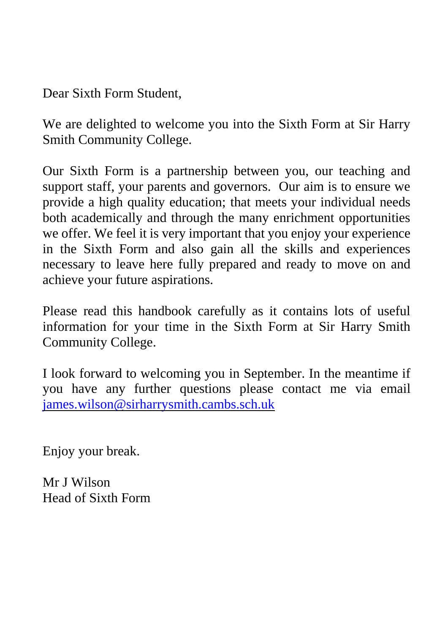Dear Sixth Form Student,

We are delighted to welcome you into the Sixth Form at Sir Harry Smith Community College.

Our Sixth Form is a partnership between you, our teaching and support staff, your parents and governors. Our aim is to ensure we provide a high quality education; that meets your individual needs both academically and through the many enrichment opportunities we offer. We feel it is very important that you enjoy your experience in the Sixth Form and also gain all the skills and experiences necessary to leave here fully prepared and ready to move on and achieve your future aspirations.

Please read this handbook carefully as it contains lots of useful information for your time in the Sixth Form at Sir Harry Smith Community College.

I look forward to welcoming you in September. In the meantime if you have any further questions please contact me via email [james.wilson@sirharrysmith.cambs.sch.uk](mailto:james.wilson@sirharrysmith.cambs.sch.uk)

Enjoy your break.

Mr I Wilson Head of Sixth Form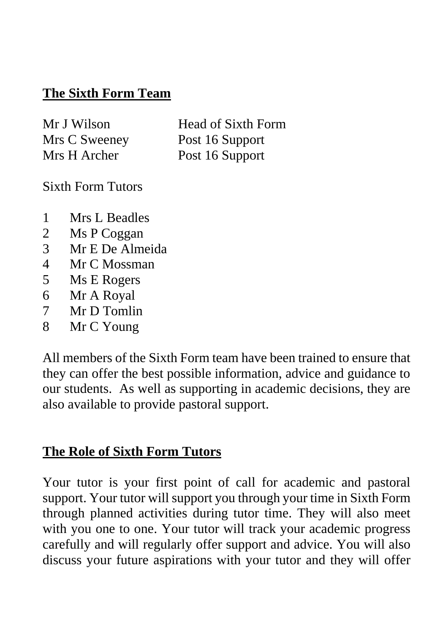## **The Sixth Form Team**

| Mr J Wilson   | <b>Head of Sixth Form</b> |
|---------------|---------------------------|
| Mrs C Sweeney | Post 16 Support           |
| Mrs H Archer  | Post 16 Support           |

Sixth Form Tutors

- 1 Mrs L Beadles
- 2 Ms P Coggan
- 3 Mr E De Almeida
- 4 Mr C Mossman
- 5 Ms E Rogers
- 6 Mr A Royal
- 7 Mr D Tomlin
- 8 Mr C Young

All members of the Sixth Form team have been trained to ensure that they can offer the best possible information, advice and guidance to our students. As well as supporting in academic decisions, they are also available to provide pastoral support.

# **The Role of Sixth Form Tutors**

Your tutor is your first point of call for academic and pastoral support. Your tutor will support you through your time in Sixth Form through planned activities during tutor time. They will also meet with you one to one. Your tutor will track your academic progress carefully and will regularly offer support and advice. You will also discuss your future aspirations with your tutor and they will offer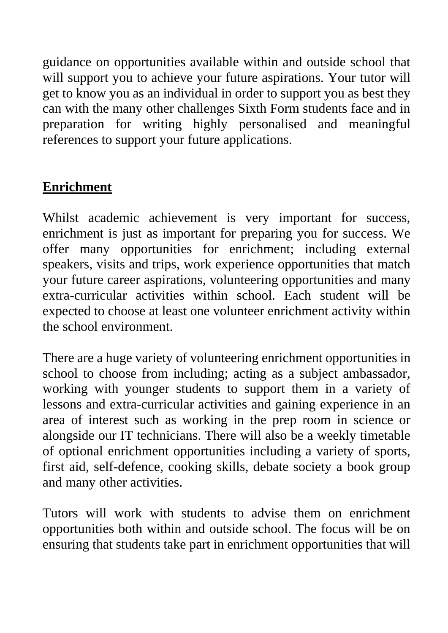guidance on opportunities available within and outside school that will support you to achieve your future aspirations. Your tutor will get to know you as an individual in order to support you as best they can with the many other challenges Sixth Form students face and in preparation for writing highly personalised and meaningful references to support your future applications.

## **Enrichment**

Whilst academic achievement is very important for success, enrichment is just as important for preparing you for success. We offer many opportunities for enrichment; including external speakers, visits and trips, work experience opportunities that match your future career aspirations, volunteering opportunities and many extra-curricular activities within school. Each student will be expected to choose at least one volunteer enrichment activity within the school environment.

There are a huge variety of volunteering enrichment opportunities in school to choose from including; acting as a subject ambassador, working with younger students to support them in a variety of lessons and extra-curricular activities and gaining experience in an area of interest such as working in the prep room in science or alongside our IT technicians. There will also be a weekly timetable of optional enrichment opportunities including a variety of sports, first aid, self-defence, cooking skills, debate society a book group and many other activities.

Tutors will work with students to advise them on enrichment opportunities both within and outside school. The focus will be on ensuring that students take part in enrichment opportunities that will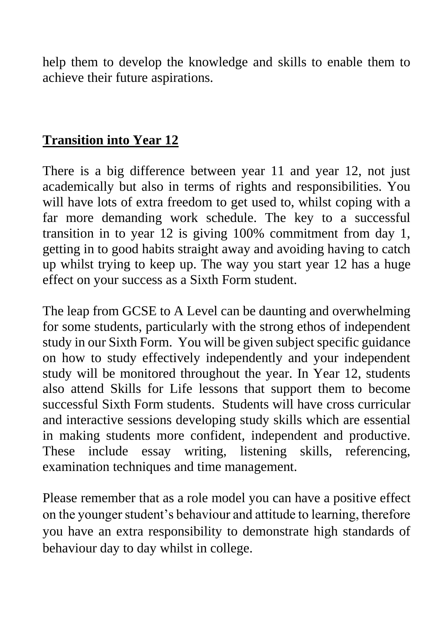help them to develop the knowledge and skills to enable them to achieve their future aspirations.

## **Transition into Year 12**

There is a big difference between year 11 and year 12, not just academically but also in terms of rights and responsibilities. You will have lots of extra freedom to get used to, whilst coping with a far more demanding work schedule. The key to a successful transition in to year 12 is giving 100% commitment from day 1, getting in to good habits straight away and avoiding having to catch up whilst trying to keep up. The way you start year 12 has a huge effect on your success as a Sixth Form student.

The leap from GCSE to A Level can be daunting and overwhelming for some students, particularly with the strong ethos of independent study in our Sixth Form. You will be given subject specific guidance on how to study effectively independently and your independent study will be monitored throughout the year. In Year 12, students also attend Skills for Life lessons that support them to become successful Sixth Form students. Students will have cross curricular and interactive sessions developing study skills which are essential in making students more confident, independent and productive. These include essay writing, listening skills, referencing, examination techniques and time management.

Please remember that as a role model you can have a positive effect on the younger student's behaviour and attitude to learning, therefore you have an extra responsibility to demonstrate high standards of behaviour day to day whilst in college.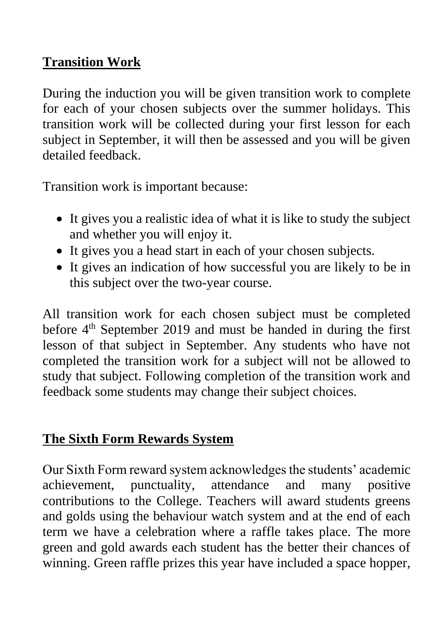## **Transition Work**

During the induction you will be given transition work to complete for each of your chosen subjects over the summer holidays. This transition work will be collected during your first lesson for each subject in September, it will then be assessed and you will be given detailed feedback.

Transition work is important because:

- It gives you a realistic idea of what it is like to study the subject and whether you will enjoy it.
- It gives you a head start in each of your chosen subjects.
- It gives an indication of how successful you are likely to be in this subject over the two-year course.

All transition work for each chosen subject must be completed before 4<sup>th</sup> September 2019 and must be handed in during the first lesson of that subject in September. Any students who have not completed the transition work for a subject will not be allowed to study that subject. Following completion of the transition work and feedback some students may change their subject choices.

# **The Sixth Form Rewards System**

Our Sixth Form reward system acknowledges the students' academic achievement, punctuality, attendance and many positive contributions to the College. Teachers will award students greens and golds using the behaviour watch system and at the end of each term we have a celebration where a raffle takes place. The more green and gold awards each student has the better their chances of winning. Green raffle prizes this year have included a space hopper,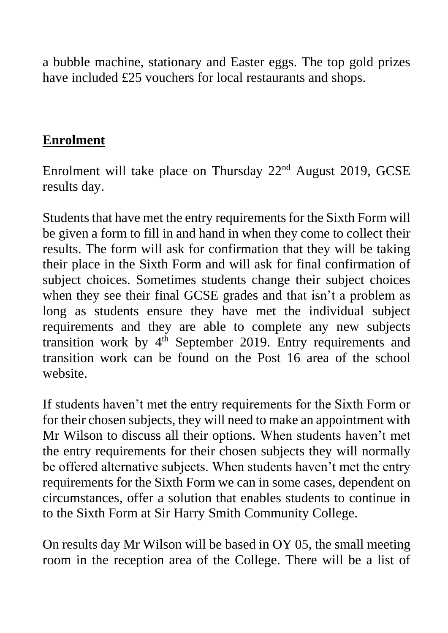a bubble machine, stationary and Easter eggs. The top gold prizes have included £25 vouchers for local restaurants and shops.

#### **Enrolment**

Enrolment will take place on Thursday 22nd August 2019, GCSE results day.

Students that have met the entry requirements for the Sixth Form will be given a form to fill in and hand in when they come to collect their results. The form will ask for confirmation that they will be taking their place in the Sixth Form and will ask for final confirmation of subject choices. Sometimes students change their subject choices when they see their final GCSE grades and that isn't a problem as long as students ensure they have met the individual subject requirements and they are able to complete any new subjects transition work by  $4<sup>th</sup>$  September 2019. Entry requirements and transition work can be found on the Post 16 area of the school website.

If students haven't met the entry requirements for the Sixth Form or for their chosen subjects, they will need to make an appointment with Mr Wilson to discuss all their options. When students haven't met the entry requirements for their chosen subjects they will normally be offered alternative subjects. When students haven't met the entry requirements for the Sixth Form we can in some cases, dependent on circumstances, offer a solution that enables students to continue in to the Sixth Form at Sir Harry Smith Community College.

On results day Mr Wilson will be based in OY 05, the small meeting room in the reception area of the College. There will be a list of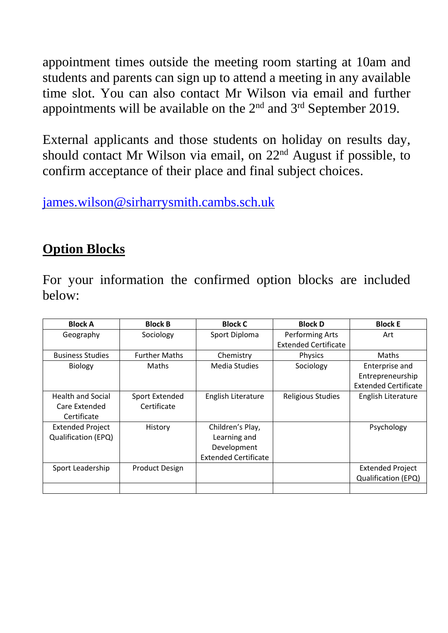appointment times outside the meeting room starting at 10am and students and parents can sign up to attend a meeting in any available time slot. You can also contact Mr Wilson via email and further appointments will be available on the  $2<sup>nd</sup>$  and  $3<sup>rd</sup>$  September 2019.

External applicants and those students on holiday on results day, should contact Mr Wilson via email, on 22nd August if possible, to confirm acceptance of their place and final subject choices.

[james.wilson@sirharrysmith.cambs.sch.uk](mailto:james.wilson@sirharrysmith.cambs.sch.uk)

## **Option Blocks**

For your information the confirmed option blocks are included below:

| <b>Block A</b>             | <b>Block B</b>        | <b>Block C</b>              | <b>Block D</b>              | <b>Block E</b>              |
|----------------------------|-----------------------|-----------------------------|-----------------------------|-----------------------------|
| Geography                  | Sociology             | Sport Diploma               | Performing Arts             | Art                         |
|                            |                       |                             | <b>Extended Certificate</b> |                             |
| <b>Business Studies</b>    | <b>Further Maths</b>  | Chemistry                   | <b>Physics</b>              | <b>Maths</b>                |
| <b>Biology</b>             | <b>Maths</b>          | Media Studies               | Sociology                   | Enterprise and              |
|                            |                       |                             |                             | Entrepreneurship            |
|                            |                       |                             |                             | <b>Extended Certificate</b> |
| <b>Health and Social</b>   | Sport Extended        | English Literature          | <b>Religious Studies</b>    | English Literature          |
| Care Extended              | Certificate           |                             |                             |                             |
| Certificate                |                       |                             |                             |                             |
| <b>Extended Project</b>    | History               | Children's Play,            |                             | Psychology                  |
| <b>Qualification (EPQ)</b> |                       | Learning and                |                             |                             |
|                            |                       | Development                 |                             |                             |
|                            |                       | <b>Extended Certificate</b> |                             |                             |
| Sport Leadership           | <b>Product Design</b> |                             |                             | <b>Extended Project</b>     |
|                            |                       |                             |                             | <b>Qualification (EPQ)</b>  |
|                            |                       |                             |                             |                             |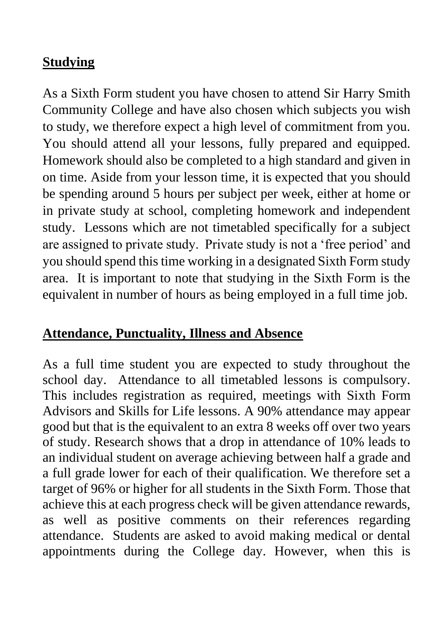## **Studying**

As a Sixth Form student you have chosen to attend Sir Harry Smith Community College and have also chosen which subjects you wish to study, we therefore expect a high level of commitment from you. You should attend all your lessons, fully prepared and equipped. Homework should also be completed to a high standard and given in on time. Aside from your lesson time, it is expected that you should be spending around 5 hours per subject per week, either at home or in private study at school, completing homework and independent study. Lessons which are not timetabled specifically for a subject are assigned to private study. Private study is not a 'free period' and you should spend this time working in a designated Sixth Form study area. It is important to note that studying in the Sixth Form is the equivalent in number of hours as being employed in a full time job.

## **Attendance, Punctuality, Illness and Absence**

As a full time student you are expected to study throughout the school day. Attendance to all timetabled lessons is compulsory. This includes registration as required, meetings with Sixth Form Advisors and Skills for Life lessons. A 90% attendance may appear good but that is the equivalent to an extra 8 weeks off over two years of study. Research shows that a drop in attendance of 10% leads to an individual student on average achieving between half a grade and a full grade lower for each of their qualification. We therefore set a target of 96% or higher for all students in the Sixth Form. Those that achieve this at each progress check will be given attendance rewards, as well as positive comments on their references regarding attendance. Students are asked to avoid making medical or dental appointments during the College day. However, when this is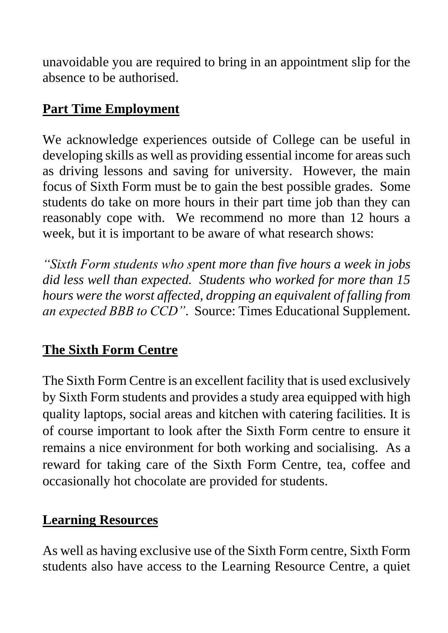unavoidable you are required to bring in an appointment slip for the absence to be authorised.

# **Part Time Employment**

We acknowledge experiences outside of College can be useful in developing skills as well as providing essential income for areas such as driving lessons and saving for university. However, the main focus of Sixth Form must be to gain the best possible grades. Some students do take on more hours in their part time job than they can reasonably cope with. We recommend no more than 12 hours a week, but it is important to be aware of what research shows:

*"Sixth Form students who spent more than five hours a week in jobs did less well than expected. Students who worked for more than 15 hours were the worst affected, dropping an equivalent of falling from an expected BBB to CCD"*. Source: Times Educational Supplement.

# **The Sixth Form Centre**

The Sixth Form Centre is an excellent facility that is used exclusively by Sixth Form students and provides a study area equipped with high quality laptops, social areas and kitchen with catering facilities. It is of course important to look after the Sixth Form centre to ensure it remains a nice environment for both working and socialising. As a reward for taking care of the Sixth Form Centre, tea, coffee and occasionally hot chocolate are provided for students.

## **Learning Resources**

As well as having exclusive use of the Sixth Form centre, Sixth Form students also have access to the Learning Resource Centre, a quiet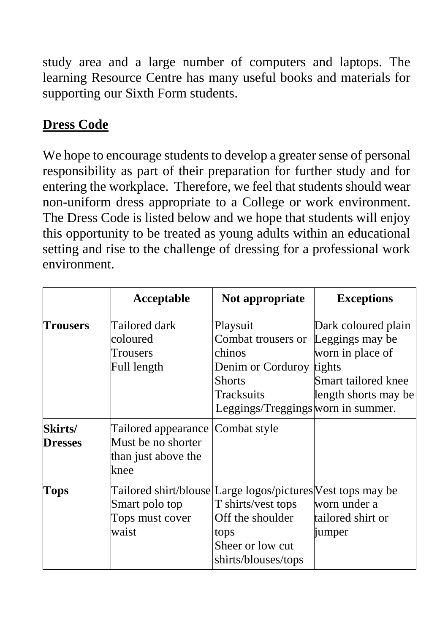study area and a large number of computers and laptops. The learning Resource Centre has many useful books and materials for supporting our Sixth Form students.

# **Dress Code**

We hope to encourage students to develop a greater sense of personal responsibility as part of their preparation for further study and for entering the workplace. Therefore, we feel that students should wear non-uniform dress appropriate to a College or work environment. The Dress Code is listed below and we hope that students will enjoy this opportunity to be treated as young adults within an educational setting and rise to the challenge of dressing for a professional work environment.

|                           | Acceptable                                                                            | Not appropriate                                                                                                                                          | <b>Exceptions</b>                                                                                                   |
|---------------------------|---------------------------------------------------------------------------------------|----------------------------------------------------------------------------------------------------------------------------------------------------------|---------------------------------------------------------------------------------------------------------------------|
| <b>Trousers</b>           | Tailored dark<br>coloured<br>Trousers<br>Full length                                  | Playsuit<br>Combat trousers or<br>chinos<br>Denim or Corduroy<br><b>Shorts</b><br>Tracksuits<br>Leggings/Treggings worn in summer.                       | Dark coloured plain<br>Leggings may be<br>worn in place of<br>tights<br>Smart tailored knee<br>length shorts may be |
| Skirts/<br><b>Dresses</b> | Tailored appearance Combat style<br>Must be no shorter<br>than just above the<br>knee |                                                                                                                                                          |                                                                                                                     |
| Tops                      | Smart polo top<br>Tops must cover<br>waist                                            | Tailored shirt/blouse Large logos/pictures Vest tops may be<br>T shirts/vest tops<br>Off the shoulder<br>tops<br>Sheer or low cut<br>shirts/blouses/tops | worn under a<br>tailored shirt or<br>jumper                                                                         |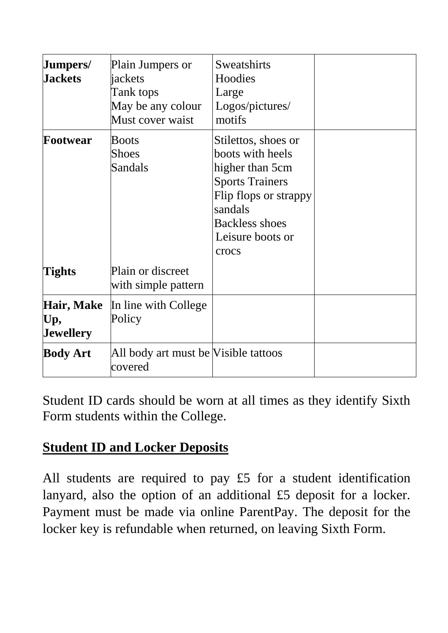| Jumpers/<br><b>Jackets</b>            | Plain Jumpers or<br>jackets<br>Tank tops<br>May be any colour<br>Must cover waist | Sweatshirts<br>Hoodies<br>Large<br>Logos/pictures/<br>motifs                                                                                                                   |  |
|---------------------------------------|-----------------------------------------------------------------------------------|--------------------------------------------------------------------------------------------------------------------------------------------------------------------------------|--|
| Footwear                              | <b>Boots</b><br><b>Shoes</b><br><b>Sandals</b>                                    | Stilettos, shoes or<br>boots with heels<br>higher than 5cm<br><b>Sports Trainers</b><br>Flip flops or strappy<br>sandals<br><b>Backless shoes</b><br>Leisure boots or<br>crocs |  |
| Tights                                | Plain or discreet<br>with simple pattern                                          |                                                                                                                                                                                |  |
| <b>Hair, Make</b><br>Up,<br>Jewellery | In line with College<br>Policy                                                    |                                                                                                                                                                                |  |
| <b>Body Art</b>                       | All body art must be Visible tattoos<br>covered                                   |                                                                                                                                                                                |  |

Student ID cards should be worn at all times as they identify Sixth Form students within the College.

# **Student ID and Locker Deposits**

All students are required to pay £5 for a student identification lanyard, also the option of an additional £5 deposit for a locker. Payment must be made via online ParentPay. The deposit for the locker key is refundable when returned, on leaving Sixth Form.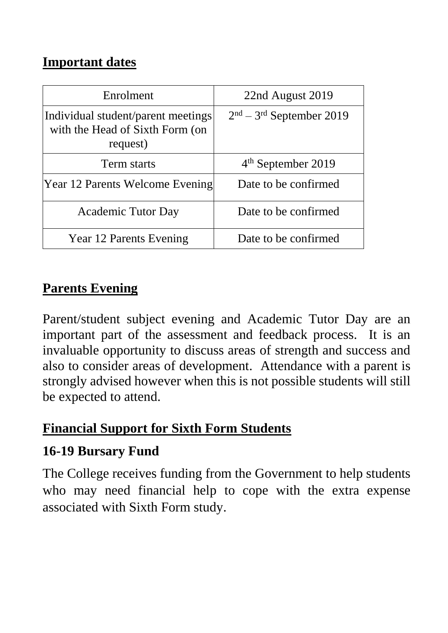## **Important dates**

| Enrolment                                                                         | 22nd August 2019           |
|-----------------------------------------------------------------------------------|----------------------------|
| Individual student/parent meetings<br>with the Head of Sixth Form (on<br>request) | $2nd - 3rd$ September 2019 |
| Term starts                                                                       | $4th$ September 2019       |
| Year 12 Parents Welcome Evening                                                   | Date to be confirmed       |
| <b>Academic Tutor Day</b>                                                         | Date to be confirmed       |
| <b>Year 12 Parents Evening</b>                                                    | Date to be confirmed       |

# **Parents Evening**

Parent/student subject evening and Academic Tutor Day are an important part of the assessment and feedback process. It is an invaluable opportunity to discuss areas of strength and success and also to consider areas of development. Attendance with a parent is strongly advised however when this is not possible students will still be expected to attend.

## **Financial Support for Sixth Form Students**

# **16-19 Bursary Fund**

The College receives funding from the Government to help students who may need financial help to cope with the extra expense associated with Sixth Form study.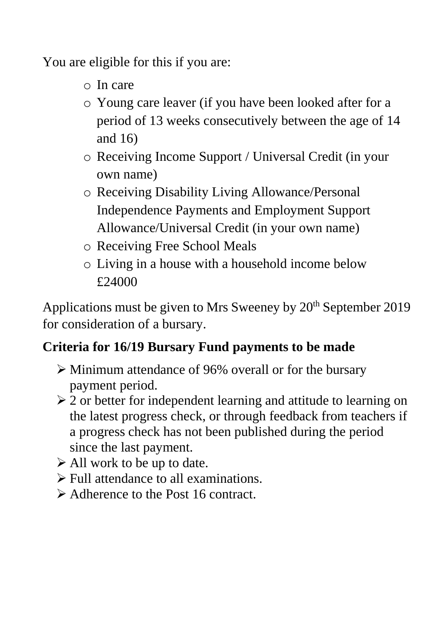You are eligible for this if you are:

- o In care
- o Young care leaver (if you have been looked after for a period of 13 weeks consecutively between the age of 14 and 16)
- o Receiving Income Support / Universal Credit (in your own name)
- o Receiving Disability Living Allowance/Personal Independence Payments and Employment Support Allowance/Universal Credit (in your own name)
- o Receiving Free School Meals
- o Living in a house with a household income below £24000

Applications must be given to Mrs Sweeney by  $20<sup>th</sup>$  September 2019 for consideration of a bursary.

# **Criteria for 16/19 Bursary Fund payments to be made**

- $\triangleright$  Minimum attendance of 96% overall or for the bursary payment period.
- $\geq 2$  or better for independent learning and attitude to learning on the latest progress check, or through feedback from teachers if a progress check has not been published during the period since the last payment.
- $\triangleright$  All work to be up to date.
- Full attendance to all examinations.
- Adherence to the Post 16 contract.